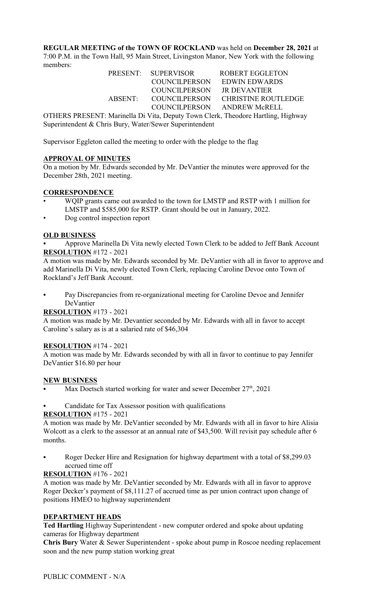**REGULAR MEETING of the TOWN OF ROCKLAND** was held on **December 28, 2021** at 7:00 P.M. in the Town Hall, 95 Main Street, Livingston Manor, New York with the following members:

|                  | PRESENT: SUPERVISOR        | ROBERT EGGLETON                           |
|------------------|----------------------------|-------------------------------------------|
|                  |                            | COUNCILPERSON EDWIN EDWARDS               |
|                  | COUNCILPERSON JR DEVANTIER |                                           |
|                  |                            | ABSENT: COUNCILPERSON CHRISTINE ROUTLEDGE |
|                  |                            | COUNCILPERSON ANDREW McRELL               |
| $\overline{OPT}$ |                            |                                           |

OTHERS PRESENT: Marinella Di Vita, Deputy Town Clerk, Theodore Hartling, Highway Superintendent & Chris Bury, Water/Sewer Superintendent

Supervisor Eggleton called the meeting to order with the pledge to the flag

### **APPROVAL OF MINUTES**

On a motion by Mr. Edwards seconded by Mr. DeVantier the minutes were approved for the December 28th, 2021 meeting.

## **CORRESPONDENCE**

- WQIP grants came out awarded to the town for LMSTP and RSTP with 1 million for LMSTP and \$585,000 for RSTP. Grant should be out in January, 2022.
- Dog control inspection report

### **OLD BUSINESS**

Approve Marinella Di Vita newly elected Town Clerk to be added to Jeff Bank Account **RESOLUTION** #172 - 2021

A motion was made by Mr. Edwards seconded by Mr. DeVantier with all in favor to approve and add Marinella Di Vita, newly elected Town Clerk, replacing Caroline Devoe onto Town of Rockland's Jeff Bank Account.

Pay Discrepancies from re-organizational meeting for Caroline Devoe and Jennifer DeVantier

### **RESOLUTION** #173 - 2021

A motion was made by Mr. Devantier seconded by Mr. Edwards with all in favor to accept Caroline's salary as is at a salaried rate of \$46,304

### **RESOLUTION** #174 - 2021

A motion was made by Mr. Edwards seconded by with all in favor to continue to pay Jennifer DeVantier \$16.80 per hour

#### **NEW BUSINESS**

- Max Doetsch started working for water and sewer December  $27<sup>th</sup>$ , 2021
- Candidate for Tax Assessor position with qualifications

#### **RESOLUTION** #175 - 2021

A motion was made by Mr. DeVantier seconded by Mr. Edwards with all in favor to hire Alisia Wolcott as a clerk to the assessor at an annual rate of \$43,500. Will revisit pay schedule after 6 months.

Roger Decker Hire and Resignation for highway department with a total of \$8,299.03 accrued time off

### **RESOLUTION** #176 - 2021

A motion was made by Mr. DeVantier seconded by Mr. Edwards with all in favor to approve Roger Decker's payment of \$8,111.27 of accrued time as per union contract upon change of positions HMEO to highway superintendent

### **DEPARTMENT HEADS**

**Ted Hartling** Highway Superintendent - new computer ordered and spoke about updating cameras for Highway department

**Chris Bury** Water & Sewer Superintendent - spoke about pump in Roscoe needing replacement soon and the new pump station working great